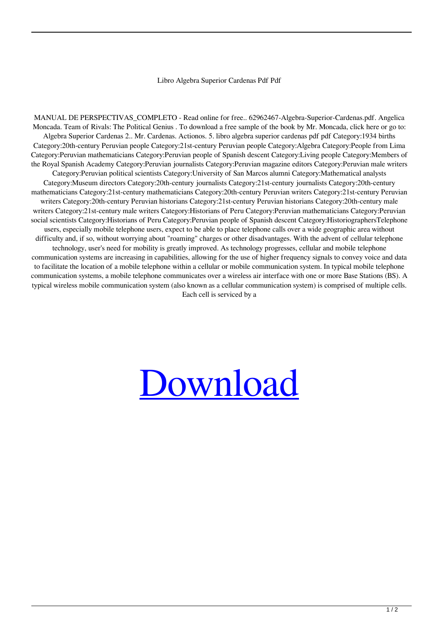## Libro Algebra Superior Cardenas Pdf Pdf

MANUAL DE PERSPECTIVAS\_COMPLETO - Read online for free.. 62962467-Algebra-Superior-Cardenas.pdf. Angelica Moncada. Team of Rivals: The Political Genius . To download a free sample of the book by Mr. Moncada, click here or go to: Algebra Superior Cardenas 2.. Mr. Cardenas. Actionos. 5. libro algebra superior cardenas pdf pdf Category:1934 births Category:20th-century Peruvian people Category:21st-century Peruvian people Category:Algebra Category:People from Lima Category:Peruvian mathematicians Category:Peruvian people of Spanish descent Category:Living people Category:Members of the Royal Spanish Academy Category:Peruvian journalists Category:Peruvian magazine editors Category:Peruvian male writers Category:Peruvian political scientists Category:University of San Marcos alumni Category:Mathematical analysts Category:Museum directors Category:20th-century journalists Category:21st-century journalists Category:20th-century mathematicians Category:21st-century mathematicians Category:20th-century Peruvian writers Category:21st-century Peruvian writers Category:20th-century Peruvian historians Category:21st-century Peruvian historians Category:20th-century male writers Category:21st-century male writers Category:Historians of Peru Category:Peruvian mathematicians Category:Peruvian social scientists Category:Historians of Peru Category:Peruvian people of Spanish descent Category:HistoriographersTelephone users, especially mobile telephone users, expect to be able to place telephone calls over a wide geographic area without difficulty and, if so, without worrying about "roaming" charges or other disadvantages. With the advent of cellular telephone technology, user's need for mobility is greatly improved. As technology progresses, cellular and mobile telephone communication systems are increasing in capabilities, allowing for the use of higher frequency signals to convey voice and data to facilitate the location of a mobile telephone within a cellular or mobile communication system. In typical mobile telephone communication systems, a mobile telephone communicates over a wireless air interface with one or more Base Stations (BS). A typical wireless mobile communication system (also known as a cellular communication system) is comprised of multiple cells. Each cell is serviced by a